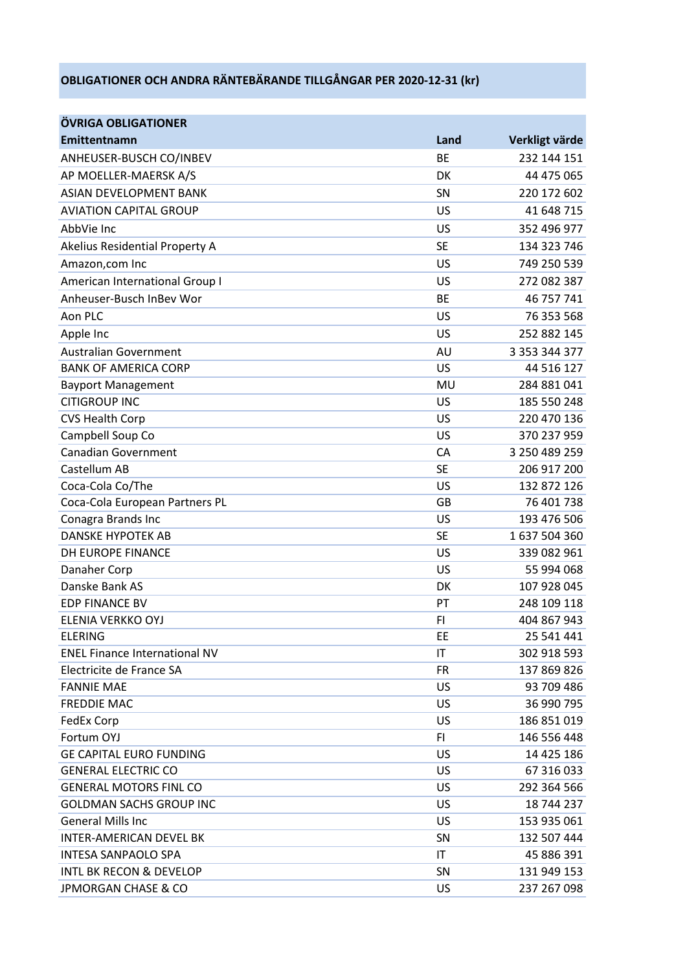## **OBLIGATIONER OCH ANDRA RÄNTEBÄRANDE TILLGÅNGAR PER 2020-12-31 (kr)**

| ÖVRIGA OBLIGATIONER                  |           |                |
|--------------------------------------|-----------|----------------|
| Emittentnamn                         | Land      | Verkligt värde |
| ANHEUSER-BUSCH CO/INBEV              | <b>BE</b> | 232 144 151    |
| AP MOELLER-MAERSK A/S                | <b>DK</b> | 44 475 065     |
| <b>ASIAN DEVELOPMENT BANK</b>        | SN        | 220 172 602    |
| <b>AVIATION CAPITAL GROUP</b>        | US        | 41 648 715     |
| AbbVie Inc                           | US        | 352 496 977    |
| Akelius Residential Property A       | <b>SE</b> | 134 323 746    |
| Amazon, com Inc                      | US        | 749 250 539    |
| American International Group I       | US        | 272 082 387    |
| Anheuser-Busch InBev Wor             | <b>BE</b> | 46 757 741     |
| Aon PLC                              | US        | 76 353 568     |
| Apple Inc                            | US        | 252 882 145    |
| <b>Australian Government</b>         | AU        | 3 353 344 377  |
| <b>BANK OF AMERICA CORP</b>          | US        | 44 516 127     |
| <b>Bayport Management</b>            | MU        | 284 881 041    |
| <b>CITIGROUP INC</b>                 | US        | 185 550 248    |
| <b>CVS Health Corp</b>               | US        | 220 470 136    |
| Campbell Soup Co                     | US        | 370 237 959    |
| <b>Canadian Government</b>           | <b>CA</b> | 3 250 489 259  |
| Castellum AB                         | <b>SE</b> | 206 917 200    |
| Coca-Cola Co/The                     | US        | 132 872 126    |
| Coca-Cola European Partners PL       | GB        | 76 401 738     |
| Conagra Brands Inc                   | US        | 193 476 506    |
| <b>DANSKE HYPOTEK AB</b>             | <b>SE</b> | 1637504360     |
| DH EUROPE FINANCE                    | US        | 339 082 961    |
| Danaher Corp                         | US        | 55 994 068     |
| Danske Bank AS                       | DK        | 107 928 045    |
| <b>EDP FINANCE BV</b>                | PT        | 248 109 118    |
| ELENIA VERKKO OYJ                    | FI        | 404 867 943    |
| <b>ELERING</b>                       | EE        | 25 541 441     |
| <b>ENEL Finance International NV</b> | ΙT        | 302 918 593    |
| Electricite de France SA             | <b>FR</b> | 137 869 826    |
| <b>FANNIE MAE</b>                    | US        | 93 709 486     |
| <b>FREDDIE MAC</b>                   | US        | 36 990 795     |
| <b>FedEx Corp</b>                    | US        | 186 851 019    |
| Fortum OYJ                           | FI.       | 146 556 448    |
| <b>GE CAPITAL EURO FUNDING</b>       | US        | 14 425 186     |
| <b>GENERAL ELECTRIC CO</b>           | US        | 67 316 033     |
| <b>GENERAL MOTORS FINL CO</b>        | US        | 292 364 566    |
| <b>GOLDMAN SACHS GROUP INC</b>       | US        | 18 744 237     |
| <b>General Mills Inc</b>             | US        | 153 935 061    |
| <b>INTER-AMERICAN DEVEL BK</b>       | SN        | 132 507 444    |
| <b>INTESA SANPAOLO SPA</b>           | ΙT        | 45 886 391     |
| <b>INTL BK RECON &amp; DEVELOP</b>   | SN        | 131 949 153    |
| <b>JPMORGAN CHASE &amp; CO</b>       | US        | 237 267 098    |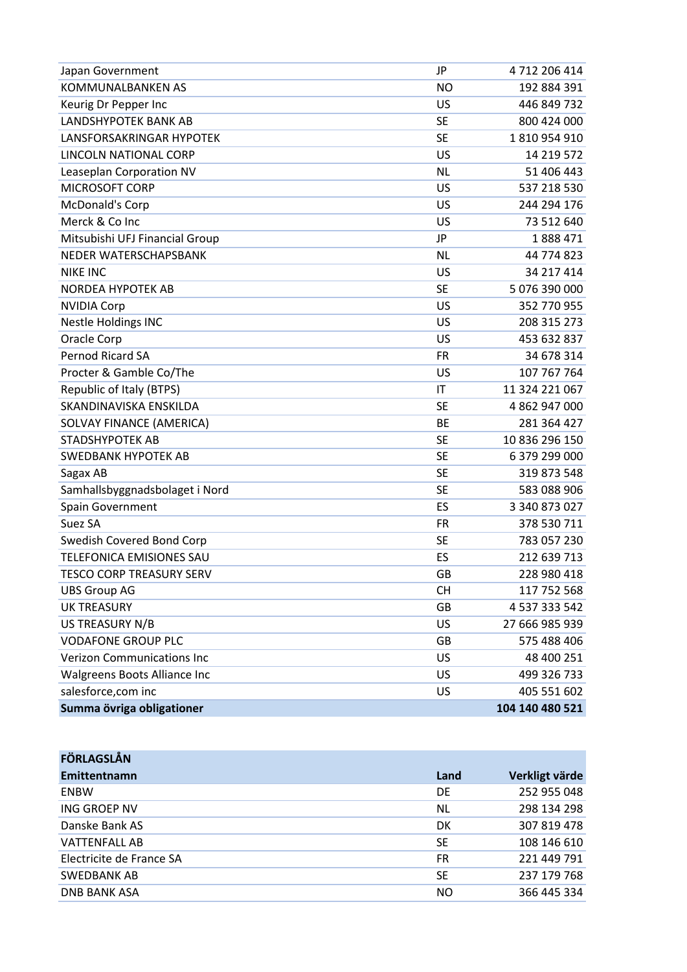| Japan Government                  | JP        | 4712206414      |
|-----------------------------------|-----------|-----------------|
| KOMMUNALBANKEN AS                 | <b>NO</b> | 192 884 391     |
| Keurig Dr Pepper Inc              | US        | 446 849 732     |
| LANDSHYPOTEK BANK AB              | <b>SE</b> | 800 424 000     |
| LANSFORSAKRINGAR HYPOTEK          | <b>SE</b> | 1810954910      |
| LINCOLN NATIONAL CORP             | US        | 14 219 572      |
| Leaseplan Corporation NV          | <b>NL</b> | 51 406 443      |
| <b>MICROSOFT CORP</b>             | <b>US</b> | 537 218 530     |
| McDonald's Corp                   | US        | 244 294 176     |
| Merck & Co Inc                    | US        | 73 512 640      |
| Mitsubishi UFJ Financial Group    | JP        | 1888471         |
| NEDER WATERSCHAPSBANK             | <b>NL</b> | 44 774 823      |
| <b>NIKE INC</b>                   | US        | 34 217 414      |
| <b>NORDEA HYPOTEK AB</b>          | <b>SE</b> | 5 076 390 000   |
| <b>NVIDIA Corp</b>                | US        | 352 770 955     |
| <b>Nestle Holdings INC</b>        | US        | 208 315 273     |
| Oracle Corp                       | US        | 453 632 837     |
| Pernod Ricard SA                  | <b>FR</b> | 34 678 314      |
| Procter & Gamble Co/The           | US        | 107 767 764     |
| <b>Republic of Italy (BTPS)</b>   | IT        | 11 324 221 067  |
| SKANDINAVISKA ENSKILDA            | <b>SE</b> | 4 862 947 000   |
| SOLVAY FINANCE (AMERICA)          | <b>BE</b> | 281 364 427     |
| <b>STADSHYPOTEK AB</b>            | <b>SE</b> | 10 836 296 150  |
| SWEDBANK HYPOTEK AB               | <b>SE</b> | 6 379 299 000   |
| Sagax AB                          | <b>SE</b> | 319 873 548     |
| Samhallsbyggnadsbolaget i Nord    | <b>SE</b> | 583 088 906     |
| Spain Government                  | ES        | 3 340 873 027   |
| Suez SA                           | <b>FR</b> | 378 530 711     |
| Swedish Covered Bond Corp         | <b>SE</b> | 783 057 230     |
| TELEFONICA EMISIONES SAU          | ES        | 212 639 713     |
| <b>TESCO CORP TREASURY SERV</b>   | GB        | 228 980 418     |
| <b>UBS Group AG</b>               | <b>CH</b> | 117 752 568     |
| <b>UK TREASURY</b>                | <b>GB</b> | 4 537 333 542   |
| US TREASURY N/B                   | US        | 27 666 985 939  |
| <b>VODAFONE GROUP PLC</b>         | <b>GB</b> | 575 488 406     |
| <b>Verizon Communications Inc</b> | US        | 48 400 251      |
| Walgreens Boots Alliance Inc      | US        | 499 326 733     |
| salesforce, com inc               | US        | 405 551 602     |
| Summa övriga obligationer         |           | 104 140 480 521 |

| <b>FÖRLAGSLÅN</b>        |           |                |
|--------------------------|-----------|----------------|
| Emittentnamn             | Land      | Verkligt värde |
| <b>ENBW</b>              | DE        | 252 955 048    |
| ING GROEP NV             | <b>NL</b> | 298 134 298    |
| Danske Bank AS           | DK        | 307 819 478    |
| <b>VATTENFALL AB</b>     | <b>SE</b> | 108 146 610    |
| Electricite de France SA | <b>FR</b> | 221 449 791    |
| <b>SWEDBANK AB</b>       | <b>SE</b> | 237 179 768    |
| <b>DNB BANK ASA</b>      | NO.       | 366 445 334    |